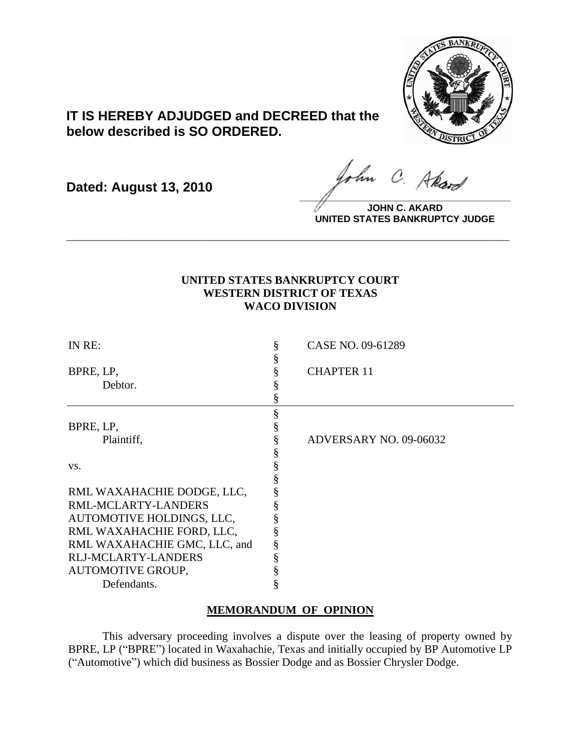

# **IT IS HEREBY ADJUDGED and DECREED that the below described is SO ORDERED.**

**Dated: August 13, 2010**

ohn C. Akard **\_\_\_\_\_\_\_\_\_\_\_\_\_\_\_\_\_\_\_\_\_\_\_\_\_\_\_\_\_\_\_\_\_\_\_\_\_\_\_\_**

**JOHN C. AKARD UNITED STATES BANKRUPTCY JUDGE**

## **UNITED STATES BANKRUPTCY COURT WESTERN DISTRICT OF TEXAS WACO DIVISION**

**\_\_\_\_\_\_\_\_\_\_\_\_\_\_\_\_\_\_\_\_\_\_\_\_\_\_\_\_\_\_\_\_\_\_\_\_\_\_\_\_\_\_\_\_\_\_\_\_\_\_\_\_\_\_\_\_\_\_\_\_**

| IN RE:                       | CASE NO. 09-61289      |  |
|------------------------------|------------------------|--|
|                              |                        |  |
| BPRE, LP,                    | <b>CHAPTER 11</b>      |  |
| Debtor.                      |                        |  |
|                              |                        |  |
|                              |                        |  |
| BPRE, LP,                    |                        |  |
| Plaintiff,                   | ADVERSARY NO. 09-06032 |  |
|                              |                        |  |
| VS.                          |                        |  |
|                              |                        |  |
| RML WAXAHACHIE DODGE, LLC,   |                        |  |
| RML-MCLARTY-LANDERS          |                        |  |
| AUTOMOTIVE HOLDINGS, LLC,    |                        |  |
| RML WAXAHACHIE FORD, LLC,    |                        |  |
| RML WAXAHACHIE GMC, LLC, and |                        |  |
| <b>RLJ-MCLARTY-LANDERS</b>   |                        |  |
| <b>AUTOMOTIVE GROUP,</b>     |                        |  |
| Defendants.                  |                        |  |

### **MEMORANDUM OF OPINION**

This adversary proceeding involves a dispute over the leasing of property owned by BPRE, LP ("BPRE") located in Waxahachie, Texas and initially occupied by BP Automotive LP (―Automotive‖) which did business as Bossier Dodge and as Bossier Chrysler Dodge.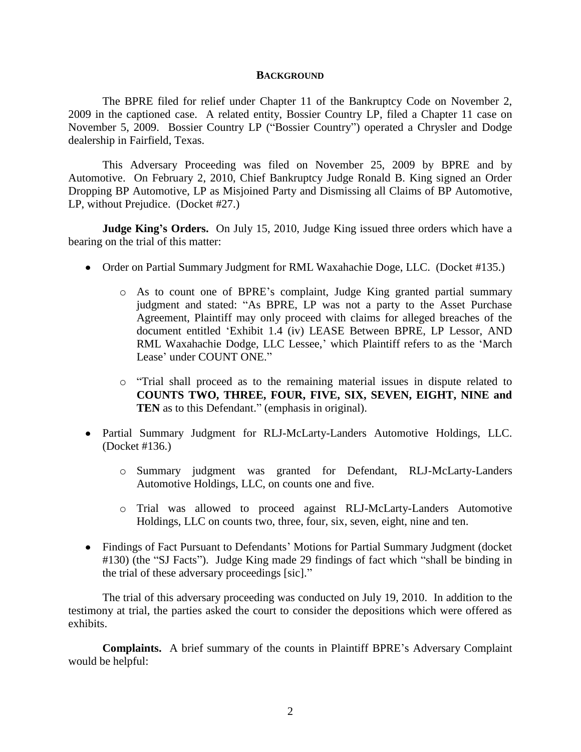#### **BACKGROUND**

The BPRE filed for relief under Chapter 11 of the Bankruptcy Code on November 2, 2009 in the captioned case. A related entity, Bossier Country LP, filed a Chapter 11 case on November 5, 2009. Bossier Country LP ("Bossier Country") operated a Chrysler and Dodge dealership in Fairfield, Texas.

This Adversary Proceeding was filed on November 25, 2009 by BPRE and by Automotive. On February 2, 2010, Chief Bankruptcy Judge Ronald B. King signed an Order Dropping BP Automotive, LP as Misjoined Party and Dismissing all Claims of BP Automotive, LP, without Prejudice. (Docket #27.)

**Judge King's Orders.** On July 15, 2010, Judge King issued three orders which have a bearing on the trial of this matter:

- Order on Partial Summary Judgment for RML Waxahachie Doge, LLC. (Docket #135.)
	- o As to count one of BPRE's complaint, Judge King granted partial summary judgment and stated: "As BPRE, LP was not a party to the Asset Purchase Agreement, Plaintiff may only proceed with claims for alleged breaches of the document entitled 'Exhibit 1.4 (iv) LEASE Between BPRE, LP Lessor, AND RML Waxahachie Dodge, LLC Lessee,' which Plaintiff refers to as the 'March Lease' under COUNT ONE."
	- $\circ$  "Trial shall proceed as to the remaining material issues in dispute related to **COUNTS TWO, THREE, FOUR, FIVE, SIX, SEVEN, EIGHT, NINE and TEN** as to this Defendant." (emphasis in original).
- Partial Summary Judgment for RLJ-McLarty-Landers Automotive Holdings, LLC. (Docket #136.)
	- o Summary judgment was granted for Defendant, RLJ-McLarty-Landers Automotive Holdings, LLC, on counts one and five.
	- o Trial was allowed to proceed against RLJ-McLarty-Landers Automotive Holdings, LLC on counts two, three, four, six, seven, eight, nine and ten.
- Findings of Fact Pursuant to Defendants' Motions for Partial Summary Judgment (docket #130) (the "SJ Facts"). Judge King made 29 findings of fact which "shall be binding in the trial of these adversary proceedings [sic]."

The trial of this adversary proceeding was conducted on July 19, 2010. In addition to the testimony at trial, the parties asked the court to consider the depositions which were offered as exhibits.

**Complaints.** A brief summary of the counts in Plaintiff BPRE's Adversary Complaint would be helpful: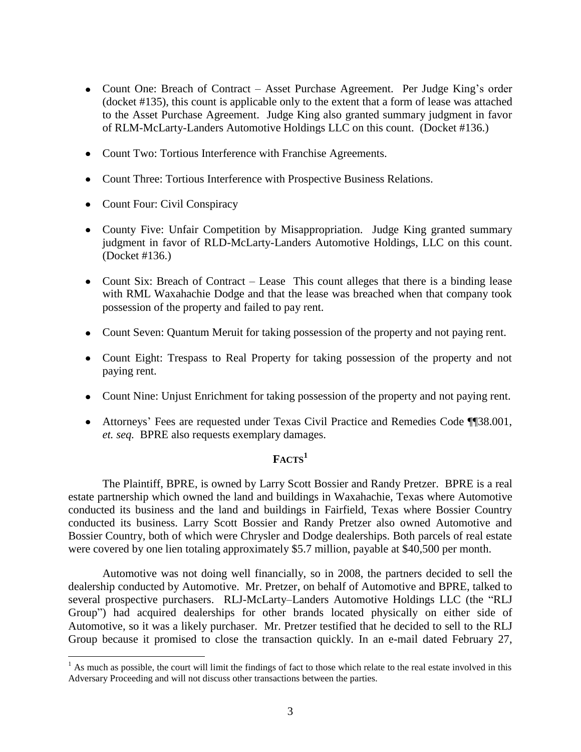- Count One: Breach of Contract Asset Purchase Agreement. Per Judge King's order (docket #135), this count is applicable only to the extent that a form of lease was attached to the Asset Purchase Agreement. Judge King also granted summary judgment in favor of RLM-McLarty-Landers Automotive Holdings LLC on this count. (Docket #136.)
- Count Two: Tortious Interference with Franchise Agreements.
- Count Three: Tortious Interference with Prospective Business Relations.
- Count Four: Civil Conspiracy

 $\overline{a}$ 

- County Five: Unfair Competition by Misappropriation. Judge King granted summary judgment in favor of RLD-McLarty-Landers Automotive Holdings, LLC on this count. (Docket #136.)
- Count Six: Breach of Contract Lease This count alleges that there is a binding lease with RML Waxahachie Dodge and that the lease was breached when that company took possession of the property and failed to pay rent.
- Count Seven: Quantum Meruit for taking possession of the property and not paying rent.
- Count Eight: Trespass to Real Property for taking possession of the property and not paying rent.
- Count Nine: Unjust Enrichment for taking possession of the property and not paying rent.
- Attorneys' Fees are requested under Texas Civil Practice and Remedies Code ¶¶38.001, *et. seq.* BPRE also requests exemplary damages.

# $\mathbf{F}\Lambda \mathbf{CTS}^1$

The Plaintiff, BPRE, is owned by Larry Scott Bossier and Randy Pretzer. BPRE is a real estate partnership which owned the land and buildings in Waxahachie, Texas where Automotive conducted its business and the land and buildings in Fairfield, Texas where Bossier Country conducted its business. Larry Scott Bossier and Randy Pretzer also owned Automotive and Bossier Country, both of which were Chrysler and Dodge dealerships. Both parcels of real estate were covered by one lien totaling approximately \$5.7 million, payable at \$40,500 per month.

Automotive was not doing well financially, so in 2008, the partners decided to sell the dealership conducted by Automotive. Mr. Pretzer, on behalf of Automotive and BPRE, talked to several prospective purchasers. RLJ-McLarty–Landers Automotive Holdings LLC (the "RLJ Group") had acquired dealerships for other brands located physically on either side of Automotive, so it was a likely purchaser. Mr. Pretzer testified that he decided to sell to the RLJ Group because it promised to close the transaction quickly. In an e-mail dated February 27,

 $<sup>1</sup>$  As much as possible, the court will limit the findings of fact to those which relate to the real estate involved in this</sup> Adversary Proceeding and will not discuss other transactions between the parties.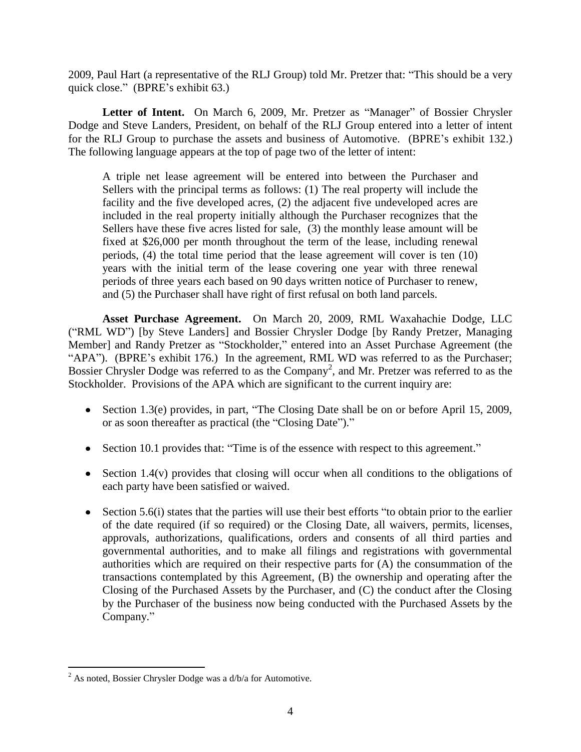2009, Paul Hart (a representative of the RLJ Group) told Mr. Pretzer that: "This should be a very quick close." (BPRE's exhibit 63.)

Letter of Intent. On March 6, 2009, Mr. Pretzer as "Manager" of Bossier Chrysler Dodge and Steve Landers, President, on behalf of the RLJ Group entered into a letter of intent for the RLJ Group to purchase the assets and business of Automotive. (BPRE's exhibit 132.) The following language appears at the top of page two of the letter of intent:

A triple net lease agreement will be entered into between the Purchaser and Sellers with the principal terms as follows: (1) The real property will include the facility and the five developed acres, (2) the adjacent five undeveloped acres are included in the real property initially although the Purchaser recognizes that the Sellers have these five acres listed for sale, (3) the monthly lease amount will be fixed at \$26,000 per month throughout the term of the lease, including renewal periods, (4) the total time period that the lease agreement will cover is ten (10) years with the initial term of the lease covering one year with three renewal periods of three years each based on 90 days written notice of Purchaser to renew, and (5) the Purchaser shall have right of first refusal on both land parcels.

**Asset Purchase Agreement.** On March 20, 2009, RML Waxahachie Dodge, LLC ("RML WD") [by Steve Landers] and Bossier Chrysler Dodge [by Randy Pretzer, Managing Member] and Randy Pretzer as "Stockholder," entered into an Asset Purchase Agreement (the "APA"). (BPRE's exhibit 176.) In the agreement, RML WD was referred to as the Purchaser; Bossier Chrysler Dodge was referred to as the Company<sup>2</sup>, and Mr. Pretzer was referred to as the Stockholder. Provisions of the APA which are significant to the current inquiry are:

- Section 1.3(e) provides, in part, "The Closing Date shall be on or before April 15, 2009, or as soon thereafter as practical (the "Closing Date")."
- Section 10.1 provides that: "Time is of the essence with respect to this agreement."
- $\bullet$  Section 1.4(v) provides that closing will occur when all conditions to the obligations of each party have been satisfied or waived.
- $\bullet$  Section 5.6(i) states that the parties will use their best efforts "to obtain prior to the earlier of the date required (if so required) or the Closing Date, all waivers, permits, licenses, approvals, authorizations, qualifications, orders and consents of all third parties and governmental authorities, and to make all filings and registrations with governmental authorities which are required on their respective parts for (A) the consummation of the transactions contemplated by this Agreement, (B) the ownership and operating after the Closing of the Purchased Assets by the Purchaser, and (C) the conduct after the Closing by the Purchaser of the business now being conducted with the Purchased Assets by the Company."

 $\overline{a}$  $2$  As noted, Bossier Chrysler Dodge was a d/b/a for Automotive.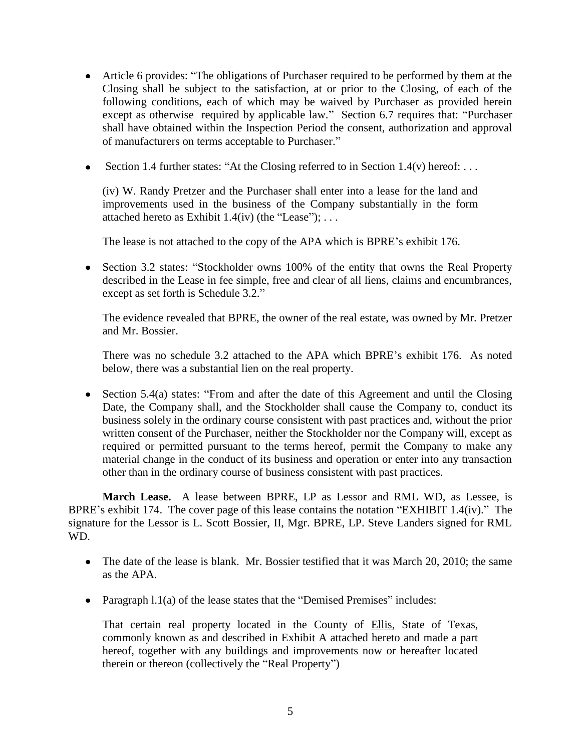- Article 6 provides: "The obligations of Purchaser required to be performed by them at the Closing shall be subject to the satisfaction, at or prior to the Closing, of each of the following conditions, each of which may be waived by Purchaser as provided herein except as otherwise required by applicable law." Section 6.7 requires that: "Purchaser shall have obtained within the Inspection Period the consent, authorization and approval of manufacturers on terms acceptable to Purchaser."
- Section 1.4 further states: "At the Closing referred to in Section 1.4(v) hereof: ...

(iv) W. Randy Pretzer and the Purchaser shall enter into a lease for the land and improvements used in the business of the Company substantially in the form attached hereto as Exhibit  $1.4(iv)$  (the "Lease"); ...

The lease is not attached to the copy of the APA which is BPRE's exhibit 176.

• Section 3.2 states: "Stockholder owns 100% of the entity that owns the Real Property described in the Lease in fee simple, free and clear of all liens, claims and encumbrances, except as set forth is Schedule 3.2."

The evidence revealed that BPRE, the owner of the real estate, was owned by Mr. Pretzer and Mr. Bossier.

There was no schedule 3.2 attached to the APA which BPRE's exhibit 176. As noted below, there was a substantial lien on the real property.

• Section 5.4(a) states: "From and after the date of this Agreement and until the Closing Date, the Company shall, and the Stockholder shall cause the Company to, conduct its business solely in the ordinary course consistent with past practices and, without the prior written consent of the Purchaser, neither the Stockholder nor the Company will, except as required or permitted pursuant to the terms hereof, permit the Company to make any material change in the conduct of its business and operation or enter into any transaction other than in the ordinary course of business consistent with past practices.

**March Lease.** A lease between BPRE, LP as Lessor and RML WD, as Lessee, is BPRE's exhibit 174. The cover page of this lease contains the notation "EXHIBIT 1.4(iv)." The signature for the Lessor is L. Scott Bossier, II, Mgr. BPRE, LP. Steve Landers signed for RML WD.

- The date of the lease is blank. Mr. Bossier testified that it was March 20, 2010; the same as the APA.
- Paragraph  $1.1(a)$  of the lease states that the "Demised Premises" includes:

That certain real property located in the County of Ellis, State of Texas, commonly known as and described in Exhibit A attached hereto and made a part hereof, together with any buildings and improvements now or hereafter located therein or thereon (collectively the "Real Property")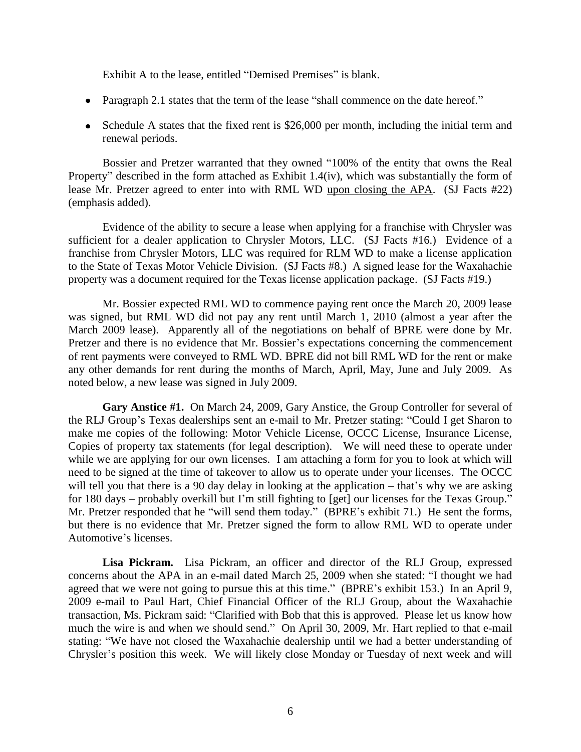Exhibit A to the lease, entitled "Demised Premises" is blank.

- Paragraph 2.1 states that the term of the lease "shall commence on the date hereof."
- Schedule A states that the fixed rent is \$26,000 per month, including the initial term and renewal periods.

Bossier and Pretzer warranted that they owned "100% of the entity that owns the Real Property" described in the form attached as Exhibit 1.4(iv), which was substantially the form of lease Mr. Pretzer agreed to enter into with RML WD upon closing the APA. (SJ Facts #22) (emphasis added).

Evidence of the ability to secure a lease when applying for a franchise with Chrysler was sufficient for a dealer application to Chrysler Motors, LLC. (SJ Facts #16.) Evidence of a franchise from Chrysler Motors, LLC was required for RLM WD to make a license application to the State of Texas Motor Vehicle Division. (SJ Facts #8.) A signed lease for the Waxahachie property was a document required for the Texas license application package. (SJ Facts #19.)

Mr. Bossier expected RML WD to commence paying rent once the March 20, 2009 lease was signed, but RML WD did not pay any rent until March 1, 2010 (almost a year after the March 2009 lease). Apparently all of the negotiations on behalf of BPRE were done by Mr. Pretzer and there is no evidence that Mr. Bossier's expectations concerning the commencement of rent payments were conveyed to RML WD. BPRE did not bill RML WD for the rent or make any other demands for rent during the months of March, April, May, June and July 2009. As noted below, a new lease was signed in July 2009.

**Gary Anstice #1.** On March 24, 2009, Gary Anstice, the Group Controller for several of the RLJ Group's Texas dealerships sent an e-mail to Mr. Pretzer stating: "Could I get Sharon to make me copies of the following: Motor Vehicle License, OCCC License, Insurance License, Copies of property tax statements (for legal description). We will need these to operate under while we are applying for our own licenses. I am attaching a form for you to look at which will need to be signed at the time of takeover to allow us to operate under your licenses. The OCCC will tell you that there is a 90 day delay in looking at the application – that's why we are asking for 180 days – probably overkill but I'm still fighting to [get] our licenses for the Texas Group." Mr. Pretzer responded that he "will send them today." (BPRE's exhibit 71.) He sent the forms, but there is no evidence that Mr. Pretzer signed the form to allow RML WD to operate under Automotive's licenses.

**Lisa Pickram.** Lisa Pickram, an officer and director of the RLJ Group, expressed concerns about the APA in an e-mail dated March 25, 2009 when she stated: "I thought we had agreed that we were not going to pursue this at this time." (BPRE's exhibit 153.) In an April 9, 2009 e-mail to Paul Hart, Chief Financial Officer of the RLJ Group, about the Waxahachie transaction, Ms. Pickram said: "Clarified with Bob that this is approved. Please let us know how much the wire is and when we should send." On April 30, 2009, Mr. Hart replied to that e-mail stating: "We have not closed the Waxahachie dealership until we had a better understanding of Chrysler's position this week. We will likely close Monday or Tuesday of next week and will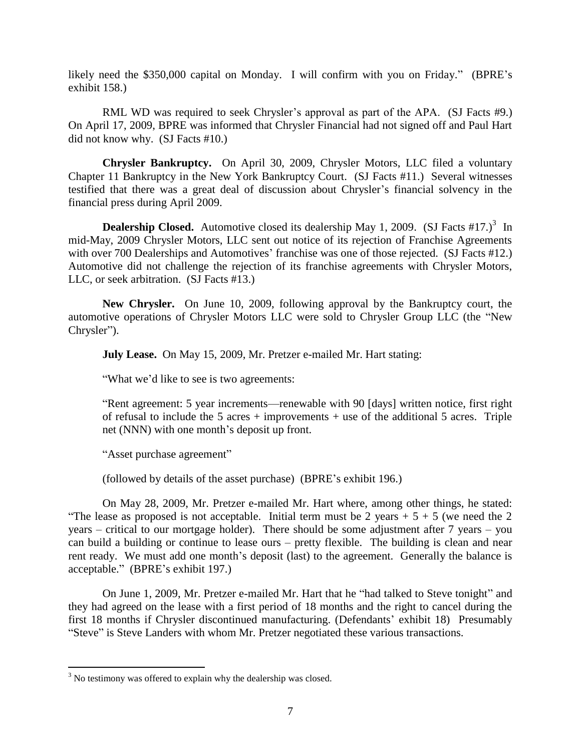likely need the \$350,000 capital on Monday. I will confirm with you on Friday." (BPRE's exhibit 158.)

RML WD was required to seek Chrysler's approval as part of the APA. (SJ Facts #9.) On April 17, 2009, BPRE was informed that Chrysler Financial had not signed off and Paul Hart did not know why. (SJ Facts #10.)

**Chrysler Bankruptcy.** On April 30, 2009, Chrysler Motors, LLC filed a voluntary Chapter 11 Bankruptcy in the New York Bankruptcy Court. (SJ Facts #11.) Several witnesses testified that there was a great deal of discussion about Chrysler's financial solvency in the financial press during April 2009.

**Dealership Closed.** Automotive closed its dealership May 1, 2009. (SJ Facts #17.)<sup>3</sup> In mid-May, 2009 Chrysler Motors, LLC sent out notice of its rejection of Franchise Agreements with over 700 Dealerships and Automotives' franchise was one of those rejected. (SJ Facts #12.) Automotive did not challenge the rejection of its franchise agreements with Chrysler Motors, LLC, or seek arbitration. (SJ Facts #13.)

**New Chrysler.** On June 10, 2009, following approval by the Bankruptcy court, the automotive operations of Chrysler Motors LLC were sold to Chrysler Group LLC (the "New Chrysler").

**July Lease.** On May 15, 2009, Mr. Pretzer e-mailed Mr. Hart stating:

―What we'd like to see is two agreements:

―Rent agreement: 5 year increments—renewable with 90 [days] written notice, first right of refusal to include the 5 acres  $+$  improvements  $+$  use of the additional 5 acres. Triple net (NNN) with one month's deposit up front.

"Asset purchase agreement"

(followed by details of the asset purchase) (BPRE's exhibit 196.)

On May 28, 2009, Mr. Pretzer e-mailed Mr. Hart where, among other things, he stated: "The lease as proposed is not acceptable. Initial term must be 2 years  $+ 5 + 5$  (we need the 2 years – critical to our mortgage holder). There should be some adjustment after 7 years – you can build a building or continue to lease ours – pretty flexible. The building is clean and near rent ready. We must add one month's deposit (last) to the agreement. Generally the balance is acceptable.‖ (BPRE's exhibit 197.)

On June 1, 2009, Mr. Pretzer e-mailed Mr. Hart that he "had talked to Steve tonight" and they had agreed on the lease with a first period of 18 months and the right to cancel during the first 18 months if Chrysler discontinued manufacturing. (Defendants' exhibit 18) Presumably "Steve" is Steve Landers with whom Mr. Pretzer negotiated these various transactions.

 $3$  No testimony was offered to explain why the dealership was closed.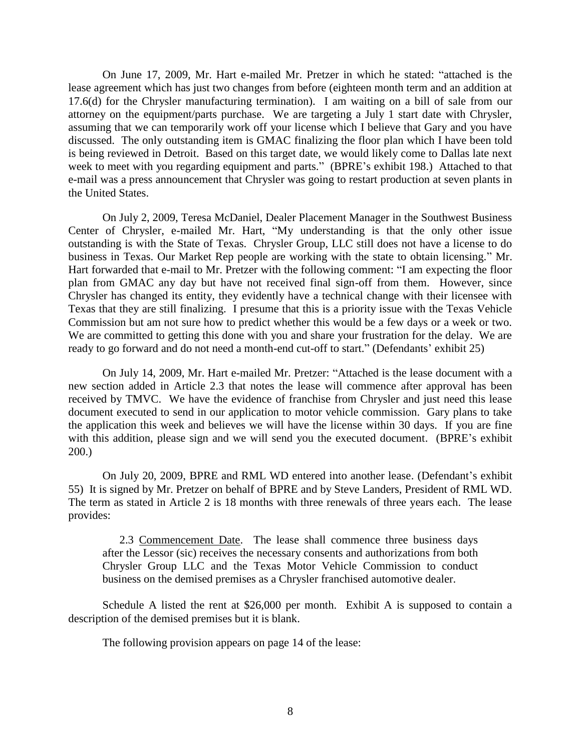On June 17, 2009, Mr. Hart e-mailed Mr. Pretzer in which he stated: "attached is the lease agreement which has just two changes from before (eighteen month term and an addition at 17.6(d) for the Chrysler manufacturing termination). I am waiting on a bill of sale from our attorney on the equipment/parts purchase. We are targeting a July 1 start date with Chrysler, assuming that we can temporarily work off your license which I believe that Gary and you have discussed. The only outstanding item is GMAC finalizing the floor plan which I have been told is being reviewed in Detroit. Based on this target date, we would likely come to Dallas late next week to meet with you regarding equipment and parts." (BPRE's exhibit 198.) Attached to that e-mail was a press announcement that Chrysler was going to restart production at seven plants in the United States.

On July 2, 2009, Teresa McDaniel, Dealer Placement Manager in the Southwest Business Center of Chrysler, e-mailed Mr. Hart, "My understanding is that the only other issue outstanding is with the State of Texas. Chrysler Group, LLC still does not have a license to do business in Texas. Our Market Rep people are working with the state to obtain licensing." Mr. Hart forwarded that e-mail to Mr. Pretzer with the following comment: "I am expecting the floor plan from GMAC any day but have not received final sign-off from them. However, since Chrysler has changed its entity, they evidently have a technical change with their licensee with Texas that they are still finalizing. I presume that this is a priority issue with the Texas Vehicle Commission but am not sure how to predict whether this would be a few days or a week or two. We are committed to getting this done with you and share your frustration for the delay. We are ready to go forward and do not need a month-end cut-off to start." (Defendants' exhibit 25)

On July 14, 2009, Mr. Hart e-mailed Mr. Pretzer: "Attached is the lease document with a new section added in Article 2.3 that notes the lease will commence after approval has been received by TMVC. We have the evidence of franchise from Chrysler and just need this lease document executed to send in our application to motor vehicle commission. Gary plans to take the application this week and believes we will have the license within 30 days. If you are fine with this addition, please sign and we will send you the executed document. (BPRE's exhibit 200.)

On July 20, 2009, BPRE and RML WD entered into another lease. (Defendant's exhibit 55) It is signed by Mr. Pretzer on behalf of BPRE and by Steve Landers, President of RML WD. The term as stated in Article 2 is 18 months with three renewals of three years each. The lease provides:

2.3 Commencement Date. The lease shall commence three business days after the Lessor (sic) receives the necessary consents and authorizations from both Chrysler Group LLC and the Texas Motor Vehicle Commission to conduct business on the demised premises as a Chrysler franchised automotive dealer.

Schedule A listed the rent at \$26,000 per month. Exhibit A is supposed to contain a description of the demised premises but it is blank.

The following provision appears on page 14 of the lease: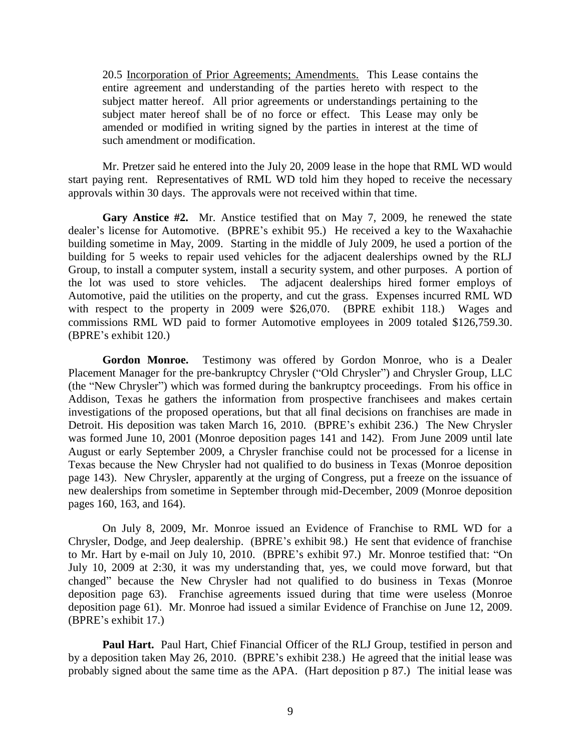20.5 Incorporation of Prior Agreements; Amendments. This Lease contains the entire agreement and understanding of the parties hereto with respect to the subject matter hereof. All prior agreements or understandings pertaining to the subject mater hereof shall be of no force or effect. This Lease may only be amended or modified in writing signed by the parties in interest at the time of such amendment or modification.

Mr. Pretzer said he entered into the July 20, 2009 lease in the hope that RML WD would start paying rent. Representatives of RML WD told him they hoped to receive the necessary approvals within 30 days. The approvals were not received within that time.

**Gary Anstice #2.** Mr. Anstice testified that on May 7, 2009, he renewed the state dealer's license for Automotive. (BPRE's exhibit 95.) He received a key to the Waxahachie building sometime in May, 2009. Starting in the middle of July 2009, he used a portion of the building for 5 weeks to repair used vehicles for the adjacent dealerships owned by the RLJ Group, to install a computer system, install a security system, and other purposes. A portion of the lot was used to store vehicles. The adjacent dealerships hired former employs of Automotive, paid the utilities on the property, and cut the grass. Expenses incurred RML WD with respect to the property in 2009 were \$26,070. (BPRE exhibit 118.) Wages and commissions RML WD paid to former Automotive employees in 2009 totaled \$126,759.30. (BPRE's exhibit 120.)

**Gordon Monroe.** Testimony was offered by Gordon Monroe, who is a Dealer Placement Manager for the pre-bankruptcy Chrysler ("Old Chrysler") and Chrysler Group, LLC (the "New Chrysler") which was formed during the bankruptcy proceedings. From his office in Addison, Texas he gathers the information from prospective franchisees and makes certain investigations of the proposed operations, but that all final decisions on franchises are made in Detroit. His deposition was taken March 16, 2010. (BPRE's exhibit 236.) The New Chrysler was formed June 10, 2001 (Monroe deposition pages 141 and 142). From June 2009 until late August or early September 2009, a Chrysler franchise could not be processed for a license in Texas because the New Chrysler had not qualified to do business in Texas (Monroe deposition page 143). New Chrysler, apparently at the urging of Congress, put a freeze on the issuance of new dealerships from sometime in September through mid-December, 2009 (Monroe deposition pages 160, 163, and 164).

On July 8, 2009, Mr. Monroe issued an Evidence of Franchise to RML WD for a Chrysler, Dodge, and Jeep dealership. (BPRE's exhibit 98.) He sent that evidence of franchise to Mr. Hart by e-mail on July 10, 2010. (BPRE's exhibit 97.) Mr. Monroe testified that: "On July 10, 2009 at 2:30, it was my understanding that, yes, we could move forward, but that changed" because the New Chrysler had not qualified to do business in Texas (Monroe deposition page 63). Franchise agreements issued during that time were useless (Monroe deposition page 61). Mr. Monroe had issued a similar Evidence of Franchise on June 12, 2009. (BPRE's exhibit 17.)

**Paul Hart.** Paul Hart, Chief Financial Officer of the RLJ Group, testified in person and by a deposition taken May 26, 2010. (BPRE's exhibit 238.) He agreed that the initial lease was probably signed about the same time as the APA. (Hart deposition p 87.) The initial lease was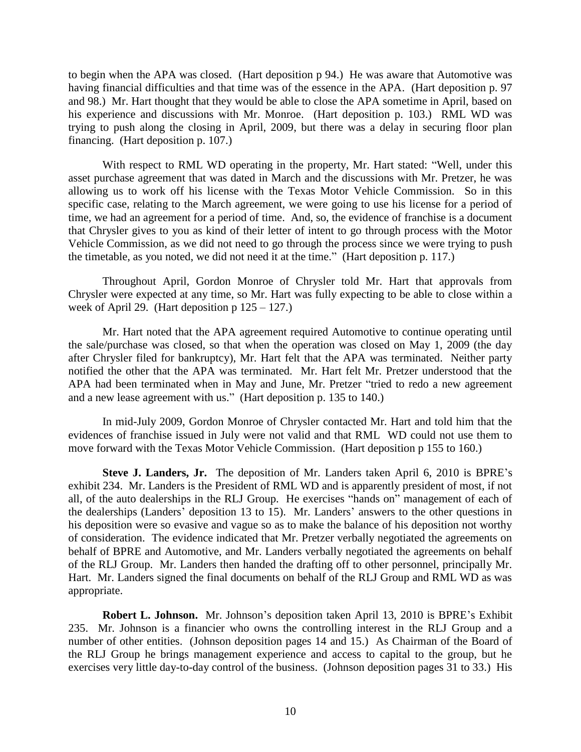to begin when the APA was closed. (Hart deposition p 94.) He was aware that Automotive was having financial difficulties and that time was of the essence in the APA. (Hart deposition p. 97 and 98.) Mr. Hart thought that they would be able to close the APA sometime in April, based on his experience and discussions with Mr. Monroe. (Hart deposition p. 103.) RML WD was trying to push along the closing in April, 2009, but there was a delay in securing floor plan financing. (Hart deposition p. 107.)

With respect to RML WD operating in the property, Mr. Hart stated: "Well, under this asset purchase agreement that was dated in March and the discussions with Mr. Pretzer, he was allowing us to work off his license with the Texas Motor Vehicle Commission. So in this specific case, relating to the March agreement, we were going to use his license for a period of time, we had an agreement for a period of time. And, so, the evidence of franchise is a document that Chrysler gives to you as kind of their letter of intent to go through process with the Motor Vehicle Commission, as we did not need to go through the process since we were trying to push the timetable, as you noted, we did not need it at the time." (Hart deposition p. 117.)

Throughout April, Gordon Monroe of Chrysler told Mr. Hart that approvals from Chrysler were expected at any time, so Mr. Hart was fully expecting to be able to close within a week of April 29. (Hart deposition  $p 125 - 127$ .)

Mr. Hart noted that the APA agreement required Automotive to continue operating until the sale/purchase was closed, so that when the operation was closed on May 1, 2009 (the day after Chrysler filed for bankruptcy), Mr. Hart felt that the APA was terminated. Neither party notified the other that the APA was terminated. Mr. Hart felt Mr. Pretzer understood that the APA had been terminated when in May and June, Mr. Pretzer "tried to redo a new agreement and a new lease agreement with us." (Hart deposition p. 135 to 140.)

In mid-July 2009, Gordon Monroe of Chrysler contacted Mr. Hart and told him that the evidences of franchise issued in July were not valid and that RML WD could not use them to move forward with the Texas Motor Vehicle Commission. (Hart deposition p 155 to 160.)

**Steve J. Landers, Jr.** The deposition of Mr. Landers taken April 6, 2010 is BPRE's exhibit 234. Mr. Landers is the President of RML WD and is apparently president of most, if not all, of the auto dealerships in the RLJ Group. He exercises "hands on" management of each of the dealerships (Landers' deposition 13 to 15). Mr. Landers' answers to the other questions in his deposition were so evasive and vague so as to make the balance of his deposition not worthy of consideration. The evidence indicated that Mr. Pretzer verbally negotiated the agreements on behalf of BPRE and Automotive, and Mr. Landers verbally negotiated the agreements on behalf of the RLJ Group. Mr. Landers then handed the drafting off to other personnel, principally Mr. Hart. Mr. Landers signed the final documents on behalf of the RLJ Group and RML WD as was appropriate.

**Robert L. Johnson.** Mr. Johnson's deposition taken April 13, 2010 is BPRE's Exhibit 235. Mr. Johnson is a financier who owns the controlling interest in the RLJ Group and a number of other entities. (Johnson deposition pages 14 and 15.) As Chairman of the Board of the RLJ Group he brings management experience and access to capital to the group, but he exercises very little day-to-day control of the business. (Johnson deposition pages 31 to 33.) His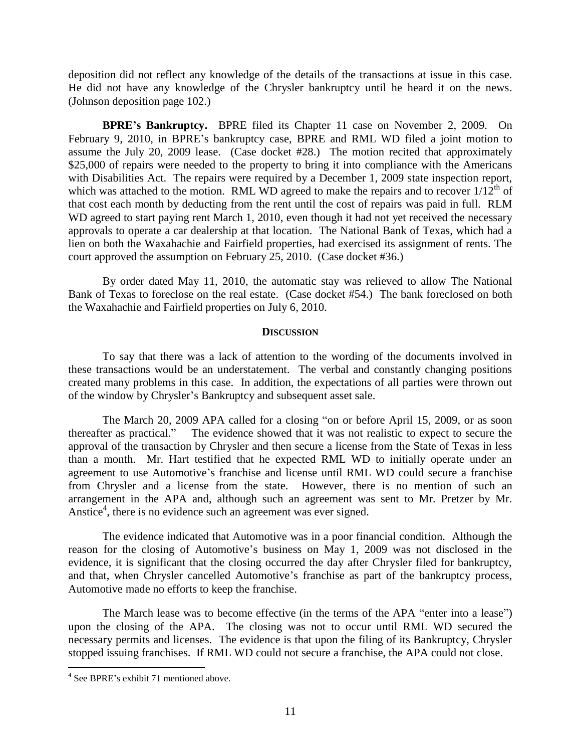deposition did not reflect any knowledge of the details of the transactions at issue in this case. He did not have any knowledge of the Chrysler bankruptcy until he heard it on the news. (Johnson deposition page 102.)

**BPRE's Bankruptcy.** BPRE filed its Chapter 11 case on November 2, 2009. On February 9, 2010, in BPRE's bankruptcy case, BPRE and RML WD filed a joint motion to assume the July 20, 2009 lease. (Case docket #28.) The motion recited that approximately \$25,000 of repairs were needed to the property to bring it into compliance with the Americans with Disabilities Act. The repairs were required by a December 1, 2009 state inspection report, which was attached to the motion. RML WD agreed to make the repairs and to recover  $1/12<sup>th</sup>$  of that cost each month by deducting from the rent until the cost of repairs was paid in full. RLM WD agreed to start paying rent March 1, 2010, even though it had not yet received the necessary approvals to operate a car dealership at that location. The National Bank of Texas, which had a lien on both the Waxahachie and Fairfield properties, had exercised its assignment of rents. The court approved the assumption on February 25, 2010. (Case docket #36.)

By order dated May 11, 2010, the automatic stay was relieved to allow The National Bank of Texas to foreclose on the real estate. (Case docket #54.) The bank foreclosed on both the Waxahachie and Fairfield properties on July 6, 2010.

#### **DISCUSSION**

To say that there was a lack of attention to the wording of the documents involved in these transactions would be an understatement. The verbal and constantly changing positions created many problems in this case. In addition, the expectations of all parties were thrown out of the window by Chrysler's Bankruptcy and subsequent asset sale.

The March 20, 2009 APA called for a closing "on or before April 15, 2009, or as soon thereafter as practical.‖ The evidence showed that it was not realistic to expect to secure the approval of the transaction by Chrysler and then secure a license from the State of Texas in less than a month. Mr. Hart testified that he expected RML WD to initially operate under an agreement to use Automotive's franchise and license until RML WD could secure a franchise from Chrysler and a license from the state. However, there is no mention of such an arrangement in the APA and, although such an agreement was sent to Mr. Pretzer by Mr. Anstice<sup>4</sup>, there is no evidence such an agreement was ever signed.

The evidence indicated that Automotive was in a poor financial condition. Although the reason for the closing of Automotive's business on May 1, 2009 was not disclosed in the evidence, it is significant that the closing occurred the day after Chrysler filed for bankruptcy, and that, when Chrysler cancelled Automotive's franchise as part of the bankruptcy process, Automotive made no efforts to keep the franchise.

The March lease was to become effective (in the terms of the APA "enter into a lease") upon the closing of the APA. The closing was not to occur until RML WD secured the necessary permits and licenses. The evidence is that upon the filing of its Bankruptcy, Chrysler stopped issuing franchises. If RML WD could not secure a franchise, the APA could not close.

<sup>4</sup> See BPRE's exhibit 71 mentioned above.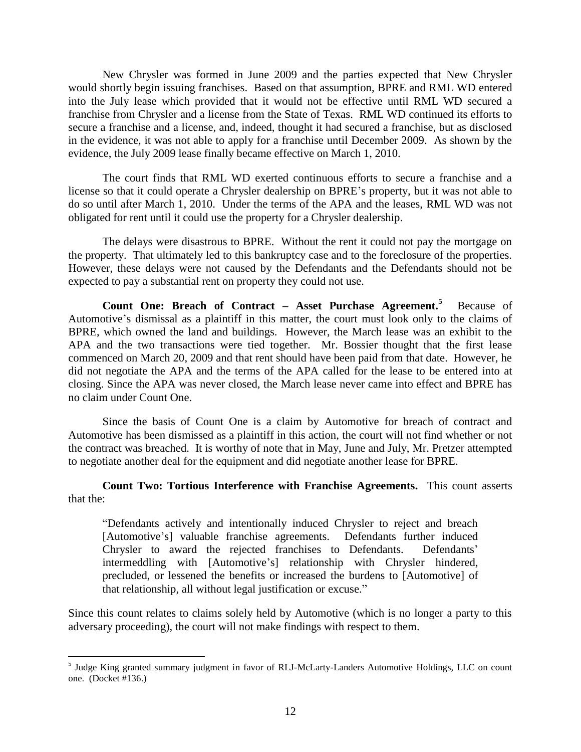New Chrysler was formed in June 2009 and the parties expected that New Chrysler would shortly begin issuing franchises. Based on that assumption, BPRE and RML WD entered into the July lease which provided that it would not be effective until RML WD secured a franchise from Chrysler and a license from the State of Texas. RML WD continued its efforts to secure a franchise and a license, and, indeed, thought it had secured a franchise, but as disclosed in the evidence, it was not able to apply for a franchise until December 2009. As shown by the evidence, the July 2009 lease finally became effective on March 1, 2010.

The court finds that RML WD exerted continuous efforts to secure a franchise and a license so that it could operate a Chrysler dealership on BPRE's property, but it was not able to do so until after March 1, 2010. Under the terms of the APA and the leases, RML WD was not obligated for rent until it could use the property for a Chrysler dealership.

The delays were disastrous to BPRE. Without the rent it could not pay the mortgage on the property. That ultimately led to this bankruptcy case and to the foreclosure of the properties. However, these delays were not caused by the Defendants and the Defendants should not be expected to pay a substantial rent on property they could not use.

**Count One: Breach of Contract – Asset Purchase Agreement. <sup>5</sup>** Because of Automotive's dismissal as a plaintiff in this matter, the court must look only to the claims of BPRE, which owned the land and buildings. However, the March lease was an exhibit to the APA and the two transactions were tied together. Mr. Bossier thought that the first lease commenced on March 20, 2009 and that rent should have been paid from that date. However, he did not negotiate the APA and the terms of the APA called for the lease to be entered into at closing. Since the APA was never closed, the March lease never came into effect and BPRE has no claim under Count One.

Since the basis of Count One is a claim by Automotive for breach of contract and Automotive has been dismissed as a plaintiff in this action, the court will not find whether or not the contract was breached. It is worthy of note that in May, June and July, Mr. Pretzer attempted to negotiate another deal for the equipment and did negotiate another lease for BPRE.

**Count Two: Tortious Interference with Franchise Agreements.** This count asserts that the:

―Defendants actively and intentionally induced Chrysler to reject and breach [Automotive's] valuable franchise agreements. Defendants further induced Chrysler to award the rejected franchises to Defendants. Defendants' intermeddling with [Automotive's] relationship with Chrysler hindered, precluded, or lessened the benefits or increased the burdens to [Automotive] of that relationship, all without legal justification or excuse."

Since this count relates to claims solely held by Automotive (which is no longer a party to this adversary proceeding), the court will not make findings with respect to them.

<sup>&</sup>lt;sup>5</sup> Judge King granted summary judgment in favor of RLJ-McLarty-Landers Automotive Holdings, LLC on count one. (Docket #136.)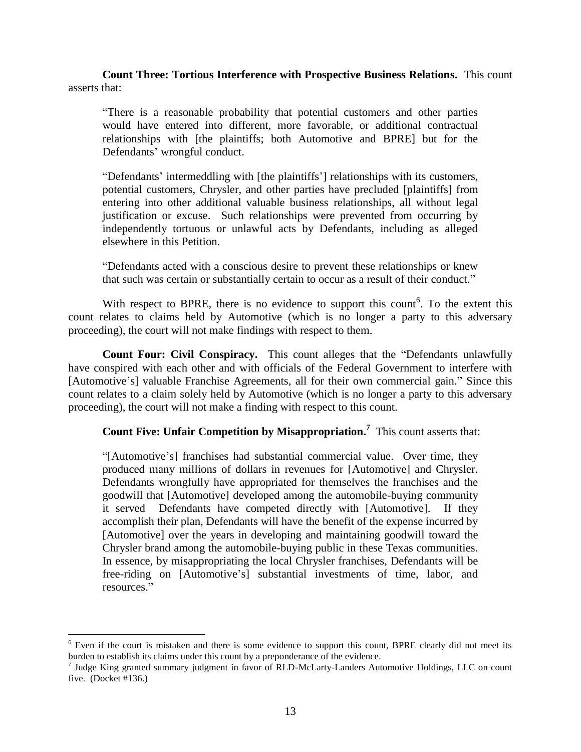**Count Three: Tortious Interference with Prospective Business Relations.** This count asserts that:

―There is a reasonable probability that potential customers and other parties would have entered into different, more favorable, or additional contractual relationships with [the plaintiffs; both Automotive and BPRE] but for the Defendants' wrongful conduct.

―Defendants' intermeddling with [the plaintiffs'] relationships with its customers, potential customers, Chrysler, and other parties have precluded [plaintiffs] from entering into other additional valuable business relationships, all without legal justification or excuse. Such relationships were prevented from occurring by independently tortuous or unlawful acts by Defendants, including as alleged elsewhere in this Petition.

―Defendants acted with a conscious desire to prevent these relationships or knew that such was certain or substantially certain to occur as a result of their conduct."

With respect to BPRE, there is no evidence to support this count<sup>6</sup>. To the extent this count relates to claims held by Automotive (which is no longer a party to this adversary proceeding), the court will not make findings with respect to them.

**Count Four: Civil Conspiracy.** This count alleges that the "Defendants unlawfully have conspired with each other and with officials of the Federal Government to interfere with [Automotive's] valuable Franchise Agreements, all for their own commercial gain." Since this count relates to a claim solely held by Automotive (which is no longer a party to this adversary proceeding), the court will not make a finding with respect to this count.

**Count Five: Unfair Competition by Misappropriation. 7** This count asserts that:

"[Automotive's] franchises had substantial commercial value. Over time, they produced many millions of dollars in revenues for [Automotive] and Chrysler. Defendants wrongfully have appropriated for themselves the franchises and the goodwill that [Automotive] developed among the automobile-buying community it served Defendants have competed directly with [Automotive]. If they accomplish their plan, Defendants will have the benefit of the expense incurred by [Automotive] over the years in developing and maintaining goodwill toward the Chrysler brand among the automobile-buying public in these Texas communities. In essence, by misappropriating the local Chrysler franchises, Defendants will be free-riding on [Automotive's] substantial investments of time, labor, and resources."

<sup>&</sup>lt;sup>6</sup> Even if the court is mistaken and there is some evidence to support this count, BPRE clearly did not meet its burden to establish its claims under this count by a preponderance of the evidence.<br><sup>7</sup> Judge King granted summary judgment in favor of RLD-McLarty-Landers Automotive Holdings, LLC on count

five. (Docket #136.)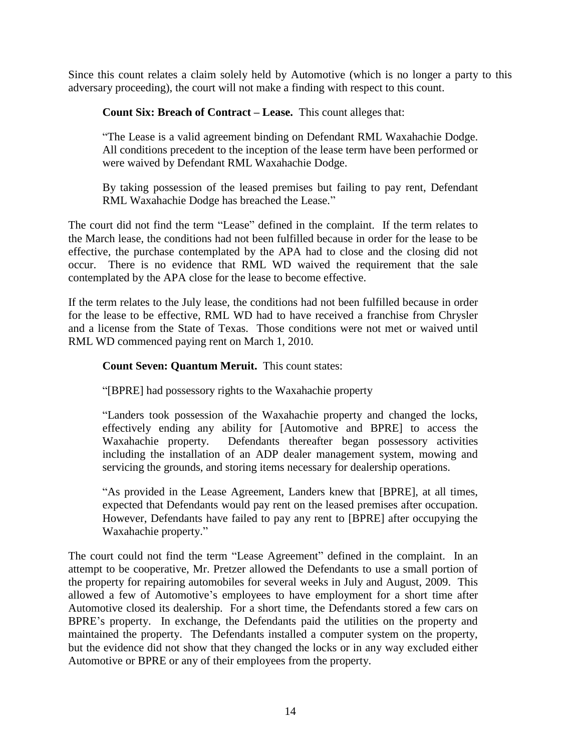Since this count relates a claim solely held by Automotive (which is no longer a party to this adversary proceeding), the court will not make a finding with respect to this count.

**Count Six: Breach of Contract – Lease.** This count alleges that:

―The Lease is a valid agreement binding on Defendant RML Waxahachie Dodge. All conditions precedent to the inception of the lease term have been performed or were waived by Defendant RML Waxahachie Dodge.

By taking possession of the leased premises but failing to pay rent, Defendant RML Waxahachie Dodge has breached the Lease."

The court did not find the term "Lease" defined in the complaint. If the term relates to the March lease, the conditions had not been fulfilled because in order for the lease to be effective, the purchase contemplated by the APA had to close and the closing did not occur. There is no evidence that RML WD waived the requirement that the sale contemplated by the APA close for the lease to become effective.

If the term relates to the July lease, the conditions had not been fulfilled because in order for the lease to be effective, RML WD had to have received a franchise from Chrysler and a license from the State of Texas. Those conditions were not met or waived until RML WD commenced paying rent on March 1, 2010.

# **Count Seven: Quantum Meruit.** This count states:

―[BPRE] had possessory rights to the Waxahachie property

―Landers took possession of the Waxahachie property and changed the locks, effectively ending any ability for [Automotive and BPRE] to access the Waxahachie property. Defendants thereafter began possessory activities including the installation of an ADP dealer management system, mowing and servicing the grounds, and storing items necessary for dealership operations.

―As provided in the Lease Agreement, Landers knew that [BPRE], at all times, expected that Defendants would pay rent on the leased premises after occupation. However, Defendants have failed to pay any rent to [BPRE] after occupying the Waxahachie property."

The court could not find the term "Lease Agreement" defined in the complaint. In an attempt to be cooperative, Mr. Pretzer allowed the Defendants to use a small portion of the property for repairing automobiles for several weeks in July and August, 2009. This allowed a few of Automotive's employees to have employment for a short time after Automotive closed its dealership. For a short time, the Defendants stored a few cars on BPRE's property. In exchange, the Defendants paid the utilities on the property and maintained the property. The Defendants installed a computer system on the property, but the evidence did not show that they changed the locks or in any way excluded either Automotive or BPRE or any of their employees from the property.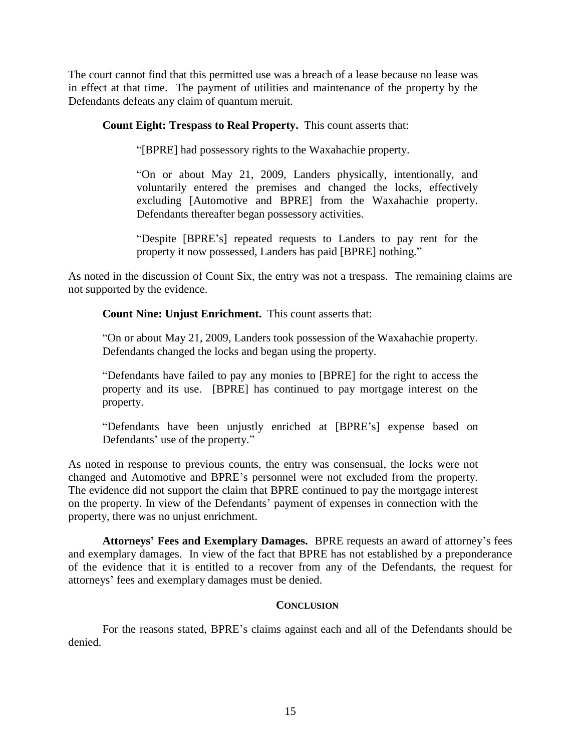The court cannot find that this permitted use was a breach of a lease because no lease was in effect at that time. The payment of utilities and maintenance of the property by the Defendants defeats any claim of quantum meruit.

**Count Eight: Trespass to Real Property.** This count asserts that:

―[BPRE] had possessory rights to the Waxahachie property.

―On or about May 21, 2009, Landers physically, intentionally, and voluntarily entered the premises and changed the locks, effectively excluding [Automotive and BPRE] from the Waxahachie property. Defendants thereafter began possessory activities.

―Despite [BPRE's] repeated requests to Landers to pay rent for the property it now possessed, Landers has paid [BPRE] nothing."

As noted in the discussion of Count Six, the entry was not a trespass. The remaining claims are not supported by the evidence.

**Count Nine: Unjust Enrichment.** This count asserts that:

―On or about May 21, 2009, Landers took possession of the Waxahachie property. Defendants changed the locks and began using the property.

―Defendants have failed to pay any monies to [BPRE] for the right to access the property and its use. [BPRE] has continued to pay mortgage interest on the property.

―Defendants have been unjustly enriched at [BPRE's] expense based on Defendants' use of the property."

As noted in response to previous counts, the entry was consensual, the locks were not changed and Automotive and BPRE's personnel were not excluded from the property. The evidence did not support the claim that BPRE continued to pay the mortgage interest on the property. In view of the Defendants' payment of expenses in connection with the property, there was no unjust enrichment.

**Attorneys' Fees and Exemplary Damages.** BPRE requests an award of attorney's fees and exemplary damages. In view of the fact that BPRE has not established by a preponderance of the evidence that it is entitled to a recover from any of the Defendants, the request for attorneys' fees and exemplary damages must be denied.

### **CONCLUSION**

For the reasons stated, BPRE's claims against each and all of the Defendants should be denied.